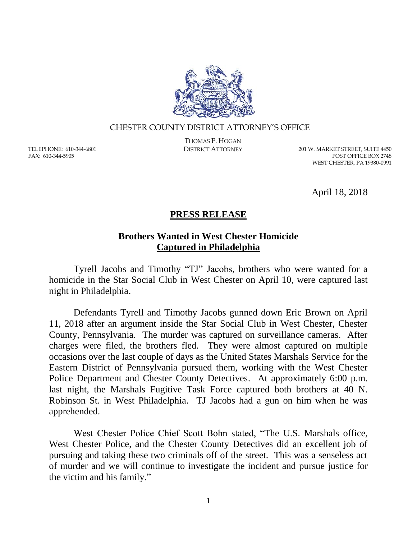

## CHESTER COUNTY DISTRICT ATTORNEY'S OFFICE

TELEPHONE: 610-344-6801 FAX: 610-344-5905

THOMAS P. HOGAN

DISTRICT ATTORNEY 201 W. MARKET STREET, SUITE 4450 POST OFFICE BOX 2748 WEST CHESTER, PA 19380-0991

April 18, 2018

## **PRESS RELEASE**

## **Brothers Wanted in West Chester Homicide Captured in Philadelphia**

Tyrell Jacobs and Timothy "TJ" Jacobs, brothers who were wanted for a homicide in the Star Social Club in West Chester on April 10, were captured last night in Philadelphia.

Defendants Tyrell and Timothy Jacobs gunned down Eric Brown on April 11, 2018 after an argument inside the Star Social Club in West Chester, Chester County, Pennsylvania. The murder was captured on surveillance cameras. After charges were filed, the brothers fled. They were almost captured on multiple occasions over the last couple of days as the United States Marshals Service for the Eastern District of Pennsylvania pursued them, working with the West Chester Police Department and Chester County Detectives. At approximately 6:00 p.m. last night, the Marshals Fugitive Task Force captured both brothers at 40 N. Robinson St. in West Philadelphia. TJ Jacobs had a gun on him when he was apprehended.

West Chester Police Chief Scott Bohn stated, "The U.S. Marshals office, West Chester Police, and the Chester County Detectives did an excellent job of pursuing and taking these two criminals off of the street. This was a senseless act of murder and we will continue to investigate the incident and pursue justice for the victim and his family."